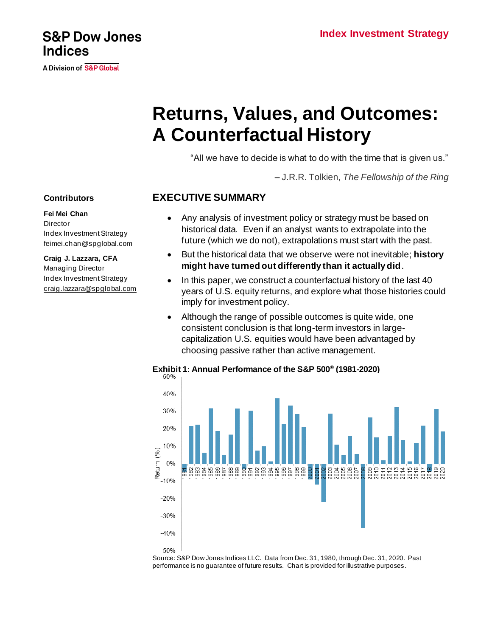# **Returns, Values, and Outcomes: A Counterfactual History**

"All we have to decide is what to do with the time that is given us."

– J.R.R. Tolkien, *The Fellowship of the Ring*

### **EXECUTIVE SUMMARY**

- Any analysis of investment policy or strategy must be based on historical data. Even if an analyst wants to extrapolate into the future (which we do not), extrapolations must start with the past.
- But the historical data that we observe were not inevitable; **history might have turned out differently than it actually did**.
- In this paper, we construct a counterfactual history of the last 40 years of U.S. equity returns, and explore what those histories could imply for investment policy.
- Although the range of possible outcomes is quite wide, one consistent conclusion is that long-term investors in largecapitalization U.S. equities would have been advantaged by choosing passive rather than active management.

### **Exhibit 1: Annual Performance of the S&P 500® (1981-2020)**



Source: S&P Dow Jones Indices LLC. Data from Dec. 31, 1980, through Dec. 31, 2020. Past performance is no guarantee of future results. Chart is provided for illustrative purposes.

### **Contributors**

**Fei Mei Chan Director** Index Investment Strategy [feimei.chan@spglobal.com](mailto:feimei.chan@spglobal.com)

**Craig J. Lazzara, CFA** Managing Director Index Investment Strategy [craig.lazzara@spglobal.com](mailto:craig.lazzara@spglobal.com)



A Division of S&P Global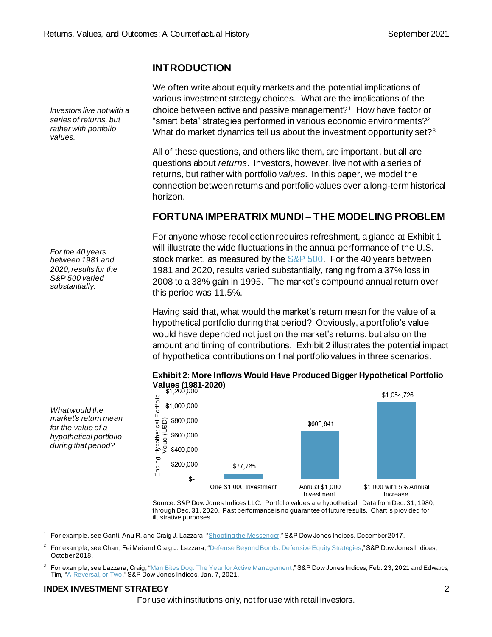### **INTRODUCTION**

We often write about equity markets and the potential implications of various investment strategy choices. What are the implications of the choice between active and passive management?<sup>1</sup> How have factor or "smart beta" strategies performed in various economic environments? 2 What do market dynamics tell us about the investment opportunity set?<sup>3</sup>

All of these questions, and others like them, are important, but all are questions about *returns*. Investors, however, live not with a series of returns, but rather with portfolio *values*. In this paper, we model the connection between returns and portfolio values over a long-term historical horizon.

### **FORTUNA IMPERATRIX MUNDI – THE MODELING PROBLEM**

For anyone whose recollection requires refreshment, a glance at Exhibit 1 will illustrate the wide fluctuations in the annual performance of the U.S. stock market, as measured by the  $S&P 500$ . For the 40 years between 1981 and 2020, results varied substantially, ranging from a 37% loss in 2008 to a 38% gain in 1995. The market's compound annual return over this period was 11.5%.

Having said that, what would the market's return mean for the value of a hypothetical portfolio during that period? Obviously, a portfolio's value would have depended not just on the market's returns, but also on the amount and timing of contributions. Exhibit 2 illustrates the potential impact of hypothetical contributions on final portfolio values in three scenarios.



# **Exhibit 2: More Inflows Would Have Produced Bigger Hypothetical Portfolio**

Source: S&P Dow Jones Indices LLC. Portfolio values are hypothetical. Data from Dec. 31, 1980, through Dec. 31, 2020. Past performance is no guarantee of future results. Chart is provided for illustrative purposes.

1 For example, see Ganti, Anu R. and Craig J. Lazzara, ["Shooting the Messenger](https://www.spglobal.com/spdji/en/documents/research/research-shooting-the-messenger.pdf?utm_source=pdf_research)," S&P Dow Jones Indices, December 2017.

 $^2$  For example, see Chan, Fei Mei and Craig J. Lazzara, "<u>Defense Beyond Bonds: Defensive Equity Strategies</u>," S&P Dow Jones Indices, October 2018.

 $^3$  For example, see Lazzara, Craig, ["Man Bites Dog: The Year for Active Management](https://www.indexologyblog.com/2021/02/23/man-bites-dog-the-year-for-active-management/?utm_source=pdf_research)," S&P Dow Jones Indices, Feb. 23, 2021 and Edwards, Tim, ["A Reversal, or Two,](https://www.indexologyblog.com/2021/01/07/a-reversal-or-two/?utm_source=pdf_research)" S&P Dow Jones Indices, Jan. 7, 2021.

#### **INDEX INVESTMENT STRATEGY** 2

For use with institutions only, not for use with retail investors.

*Investors live not with a series of returns, but rather with portfolio values.*

*For the 40 years between 1981 and 2020, results for the S&P 500 varied substantially.*

*What would the market's return mean for the value of a hypothetical portfolio during that period?*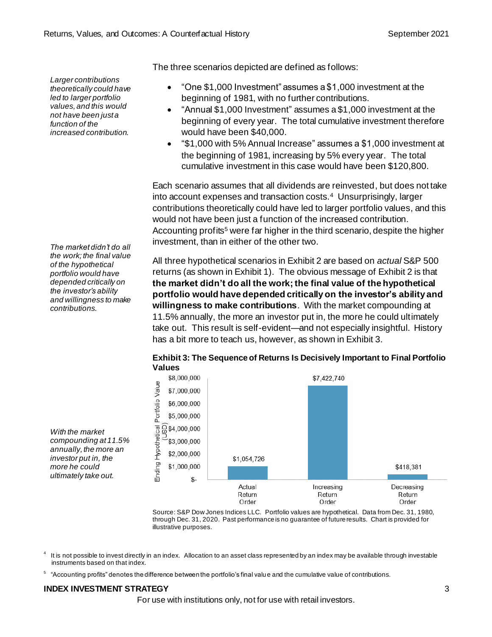*Larger contributions theoretically could have led to larger portfolio values, and this would not have been just a function of the increased contribution.*

*The market didn't do all the work; the final value of the hypothetical portfolio would have depended critically on the investor's ability and willingness to make contributions.*

*With the market compounding at 11.5% annually, the more an investor put in, the more he could ultimately take out.*

The three scenarios depicted are defined as follows:

- "One \$1,000 Investment" assumes a \$1,000 investment at the beginning of 1981, with no further contributions.
- "Annual \$1,000 Investment" assumes a \$1,000 investment at the beginning of every year. The total cumulative investment therefore would have been \$40,000.
- "\$1,000 with 5% Annual Increase" assumes a \$1,000 investment at the beginning of 1981, increasing by 5% every year. The total cumulative investment in this case would have been \$120,800.

Each scenario assumes that all dividends are reinvested, but does not take into account expenses and transaction costs.<sup>4</sup> Unsurprisingly, larger contributions theoretically could have led to larger portfolio values, and this would not have been just a function of the increased contribution. Accounting profits<sup>5</sup> were far higher in the third scenario, despite the higher investment, than in either of the other two.

All three hypothetical scenarios in Exhibit 2 are based on *actual* S&P 500 returns (as shown in Exhibit 1). The obvious message of Exhibit 2 is that **the market didn't do all the work; the final value of the hypothetical portfolio would have depended critically on the investor's ability and willingness to make contributions**. With the market compounding at 11.5% annually, the more an investor put in, the more he could ultimately take out. This result is self-evident—and not especially insightful. History has a bit more to teach us, however, as shown in Exhibit 3.



### **Exhibit 3: The Sequence of Returns Is Decisively Important to Final Portfolio Values**

Source: S&P Dow Jones Indices LLC. Portfolio values are hypothetical. Data from Dec. 31, 1980, through Dec. 31, 2020. Past performance is no guarantee of future results. Chart is provided for illustrative purposes.

4 It is not possible to invest directly in an index. Allocation to an asset class represented by an index may be available through investable instruments based on that index.

5 "Accounting profits" denotes the difference between the portfolio's final value and the cumulative value of contributions.

### **INDEX INVESTMENT STRATEGY** 3

For use with institutions only, not for use with retail investors.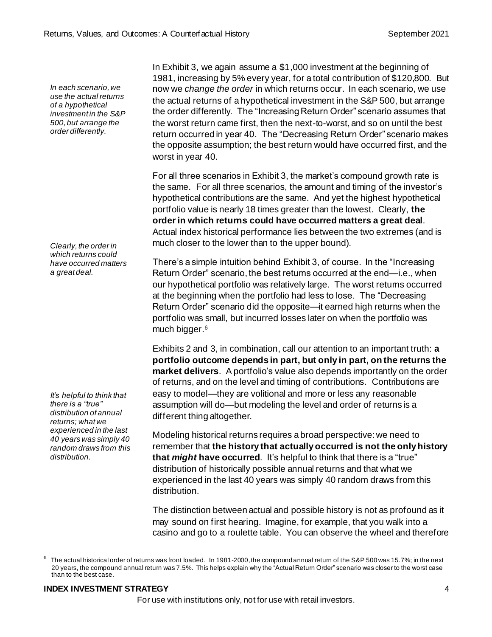*In each scenario, we use the actual returns of a hypothetical investment in the S&P 500, but arrange the order differently.*

*Clearly, the order in which returns could have occurred matters a great deal.*

*It's helpful to think that there is a "true" distribution of annual returns; what we experienced in the last 40 years was simply 40 random draws from this distribution.*

In Exhibit 3, we again assume a \$1,000 investment at the beginning of 1981, increasing by 5% every year, for a total contribution of \$120,800. But now we *change the order* in which returns occur. In each scenario, we use the actual returns of a hypothetical investment in the S&P 500, but arrange the order differently. The "Increasing Return Order" scenario assumes that the worst return came first, then the next-to-worst, and so on until the best return occurred in year 40. The "Decreasing Return Order" scenario makes the opposite assumption; the best return would have occurred first, and the worst in year 40.

For all three scenarios in Exhibit 3, the market's compound growth rate is the same. For all three scenarios, the amount and timing of the investor's hypothetical contributions are the same. And yet the highest hypothetical portfolio value is nearly 18 times greater than the lowest. Clearly, **the order in which returns could have occurred matters a great deal**. Actual index historical performance lies between the two extremes (and is much closer to the lower than to the upper bound).

There's a simple intuition behind Exhibit 3, of course. In the "Increasing Return Order" scenario, the best returns occurred at the end—i.e., when our hypothetical portfolio was relatively large. The worst returns occurred at the beginning when the portfolio had less to lose. The "Decreasing Return Order" scenario did the opposite—it earned high returns when the portfolio was small, but incurred losses later on when the portfolio was much bigger.<sup>6</sup>

Exhibits 2 and 3, in combination, call our attention to an important truth: **a portfolio outcome depends in part, but only in part, on the returns the market delivers**. A portfolio's value also depends importantly on the order of returns, and on the level and timing of contributions. Contributions are easy to model—they are volitional and more or less any reasonable assumption will do—but modeling the level and order of returns is a different thing altogether.

Modeling historical returns requires a broad perspective: we need to remember that **the history that actually occurred is not the only history that** *might* **have occurred**. It's helpful to think that there is a "true" distribution of historically possible annual returns and that what we experienced in the last 40 years was simply 40 random draws from this distribution.

The distinction between actual and possible history is not as profound as it may sound on first hearing. Imagine, for example, that you walk into a casino and go to a roulette table. You can observe the wheel and therefore

### **INDEX INVESTMENT STRATEGY** 4

For use with institutions only, not for use with retail investors.

<sup>6</sup> The actual historical order of returns was front loaded. In 1981-2000, the compound annual return of the S&P 500 was 15.7%; in the next 20 years, the compound annual return was 7.5%. This helps explain why the "Actual Return Order" scenario was closer to the worst case than to the best case.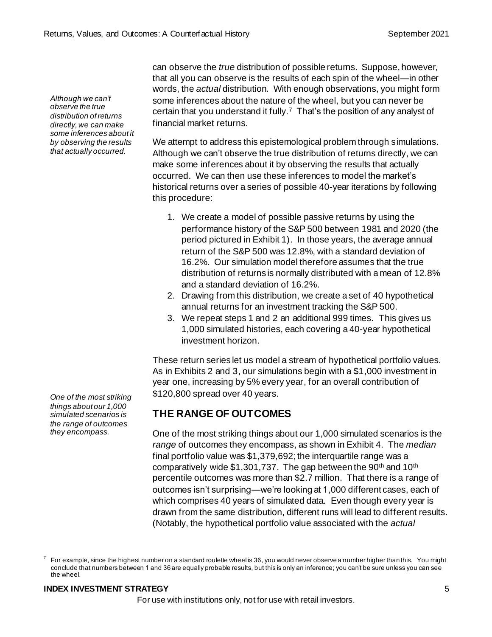*Although we can't observe the true distribution of returns directly, we can make some inferences about it by observing the results that actually occurred.*

can observe the *true* distribution of possible returns. Suppose, however, that all you can observe is the results of each spin of the wheel—in other words, the *actual* distribution. With enough observations, you might form some inferences about the nature of the wheel, but you can never be certain that you understand it fully.<sup>7</sup> That's the position of any analyst of financial market returns.

We attempt to address this epistemological problem through simulations. Although we can't observe the true distribution of returns directly, we can make some inferences about it by observing the results that actually occurred. We can then use these inferences to model the market's historical returns over a series of possible 40-year iterations by following this procedure:

- 1. We create a model of possible passive returns by using the performance history of the S&P 500 between 1981 and 2020 (the period pictured in Exhibit 1). In those years, the average annual return of the S&P 500 was 12.8%, with a standard deviation of 16.2%. Our simulation model therefore assumes that the true distribution of returns is normally distributed with a mean of 12.8% and a standard deviation of 16.2%.
- 2. Drawing from this distribution, we create a set of 40 hypothetical annual returns for an investment tracking the S&P 500.
- 3. We repeat steps 1 and 2 an additional 999 times. This gives us 1,000 simulated histories, each covering a 40-year hypothetical investment horizon.

These return series let us model a stream of hypothetical portfolio values. As in Exhibits 2 and 3, our simulations begin with a \$1,000 investment in year one, increasing by 5% every year, for an overall contribution of \$120,800 spread over 40 years.

# **THE RANGE OF OUTCOMES**

One of the most striking things about our 1,000 simulated scenarios is the *range* of outcomes they encompass, as shown in Exhibit 4. The *median* final portfolio value was \$1,379,692; the interquartile range was a comparatively wide  $$1,301,737$ . The gap between the 90<sup>th</sup> and 10<sup>th</sup> percentile outcomes was more than \$2.7 million. That there is a range of outcomes isn't surprising—we're looking at 1,000 different cases, each of which comprises 40 years of simulated data. Even though every year is drawn from the same distribution, different runs will lead to different results. (Notably, the hypothetical portfolio value associated with the *actual*

### **INDEX INVESTMENT STRATEGY** 5

For use with institutions only, not for use with retail investors.

*One of the most striking things about our 1,000 simulated scenarios is the range of outcomes they encompass.*

<sup>7</sup> For example, since the highest number on a standard roulette wheel is 36, you would never observe a number higher than this. You might conclude that numbers between 1 and 36 are equally probable results, but this is only an inference; you can't be sure unless you can see the wheel.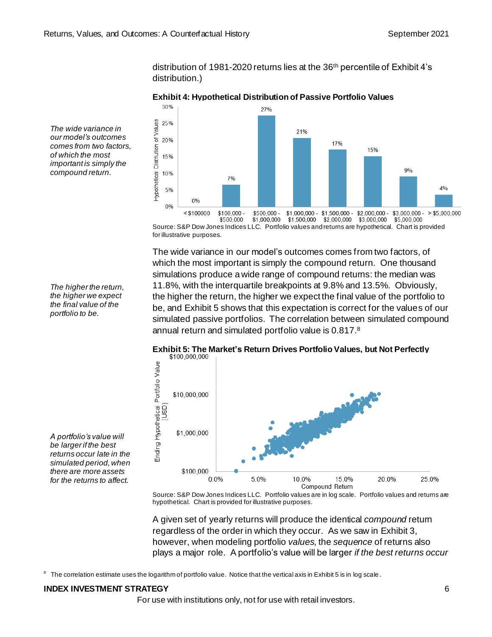distribution of 1981-2020 returns lies at the 36th percentile of Exhibit 4's distribution.)



#### **Exhibit 4: Hypothetical Distribution of Passive Portfolio Values**

*The wide variance in our model's outcomes comes from two factors, of which the most important is simply the compound return.*

> \$1,000,000 \$1,500,000 \$2,000,000 \$3,000,000 \$5,000,000 \$500 000 Source: S&P Dow Jones Indices LLC. Portfolio values and returns are hypothetical. Chart is provided for illustrative purposes.

The wide variance in our model's outcomes comes from two factors, of which the most important is simply the compound return. One thousand simulations produce a wide range of compound returns: the median was 11.8%, with the interquartile breakpoints at 9.8% and 13.5%. Obviously, the higher the return, the higher we expect the final value of the portfolio to be, and Exhibit 5 shows that this expectation is correct for the values of our simulated passive portfolios. The correlation between simulated compound annual return and simulated portfolio value is 0.817. 8



# **Exhibit 5: The Market's Return Drives Portfolio Values, but Not Perfectly**

Source: S&P Dow Jones Indices LLC. Portfolio values are in log scale. Portfolio values and returns are hypothetical. Chart is provided for illustrative purposes.

A given set of yearly returns will produce the identical *compound* return regardless of the order in which they occur. As we saw in Exhibit 3, however, when modeling portfolio *values*, the *sequence* of returns also plays a major role. A portfolio's value will be larger *if the best returns occur* 

8 The correlation estimate uses the logarithm of portfolio value. Notice that the vertical axis in Exhibit 5 is in log scale .

### **INDEX INVESTMENT STRATEGY** 6

For use with institutions only, not for use with retail investors.

*The higher the return, the higher we expect the final value of the portfolio to be.*

*be larger if the best returns occur late in the simulated period, when there are more assets for the returns to affect.*

*A portfolio's value will*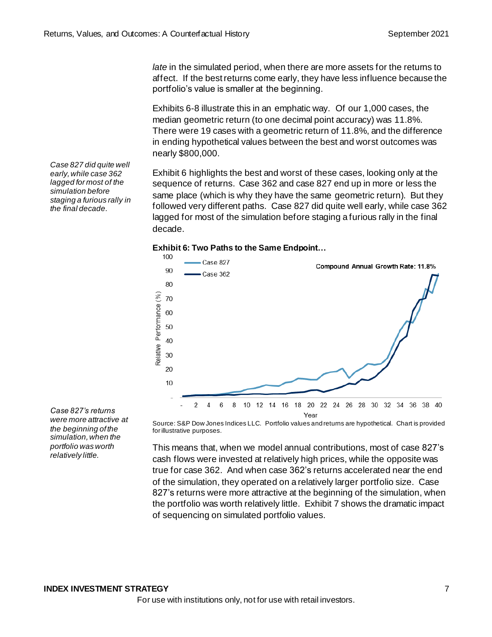*late* in the simulated period, when there are more assets for the returns to affect. If the best returns come early, they have less influence because the portfolio's value is smaller at the beginning.

Exhibits 6-8 illustrate this in an emphatic way. Of our 1,000 cases, the median geometric return (to one decimal point accuracy) was 11.8%. There were 19 cases with a geometric return of 11.8%, and the difference in ending hypothetical values between the best and worst outcomes was nearly \$800,000.

Exhibit 6 highlights the best and worst of these cases, looking only at the sequence of returns. Case 362 and case 827 end up in more or less the same place (which is why they have the same geometric return). But they followed very different paths. Case 827 did quite well early, while case 362 lagged for most of the simulation before staging a furious rally in the final decade.





*Case 827's returns were more attractive at the beginning of the simulation, when the portfolio was worth relatively little.*

*Case 827 did quite well early, while case 362 lagged for most of the simulation before staging a furious rally in the final decade.*

> Source: S&P Dow Jones Indices LLC. Portfolio values and returns are hypothetical. Chart is provided for illustrative purposes.

> This means that, when we model annual contributions, most of case 827's cash flows were invested at relatively high prices, while the opposite was true for case 362. And when case 362's returns accelerated near the end of the simulation, they operated on a relatively larger portfolio size. Case 827's returns were more attractive at the beginning of the simulation, when the portfolio was worth relatively little. Exhibit 7 shows the dramatic impact of sequencing on simulated portfolio values.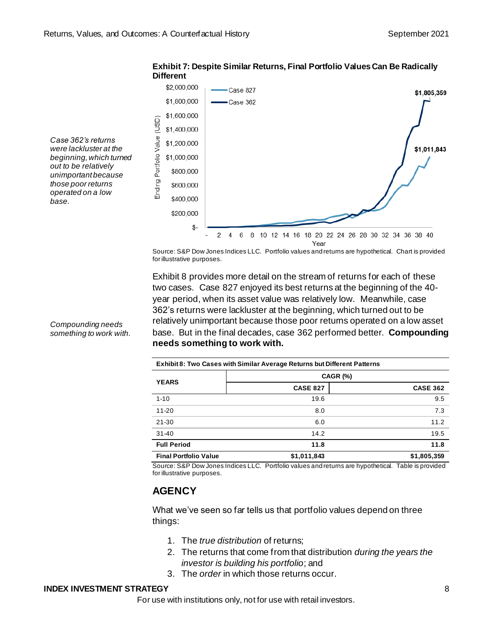

#### **Exhibit 7: Despite Similar Returns, Final Portfolio Values Can Be Radically Different**

*Case 362's returns were lackluster at the beginning, which turned out to be relatively unimportant because those poor returns operated on a low base.*

> Source: S&P Dow Jones Indices LLC. Portfolio values and returns are hypothetical. Chart is provided for illustrative purposes.

Exhibit 8 provides more detail on the stream of returns for each of these two cases. Case 827 enjoyed its best returns at the beginning of the 40 year period, when its asset value was relatively low. Meanwhile, case 362's returns were lackluster at the beginning, which turned out to be relatively unimportant because those poor returns operated on a low asset base. But in the final decades, case 362 performed better. **Compounding needs something to work with.**

| Exhibit 8: Two Cases with Similar Average Returns but Different Patterns |                 |                 |  |  |  |
|--------------------------------------------------------------------------|-----------------|-----------------|--|--|--|
| <b>YEARS</b>                                                             | <b>CAGR (%)</b> |                 |  |  |  |
|                                                                          | <b>CASE 827</b> | <b>CASE 362</b> |  |  |  |
| $1 - 10$                                                                 | 19.6            | 9.5             |  |  |  |
| $11 - 20$                                                                | 8.0             | 7.3             |  |  |  |
| $21 - 30$                                                                | 6.0             | 11.2            |  |  |  |
| $31 - 40$                                                                | 14.2            | 19.5            |  |  |  |
| <b>Full Period</b>                                                       | 11.8            | 11.8            |  |  |  |
| <b>Final Portfolio Value</b>                                             | \$1,011,843     | \$1,805,359     |  |  |  |

Source: S&P Dow Jones Indices LLC. Portfolio values and returns are hypothetical. Table is provided for illustrative purposes.

# **AGENCY**

What we've seen so far tells us that portfolio values depend on three things:

- 1. The *true distribution* of returns;
- 2. The returns that come from that distribution *during the years the investor is building his portfolio*; and
- 3. The *order* in which those returns occur.

### **INDEX INVESTMENT STRATEGY** 8

For use with institutions only, not for use with retail investors.

*Compounding needs something to work with.*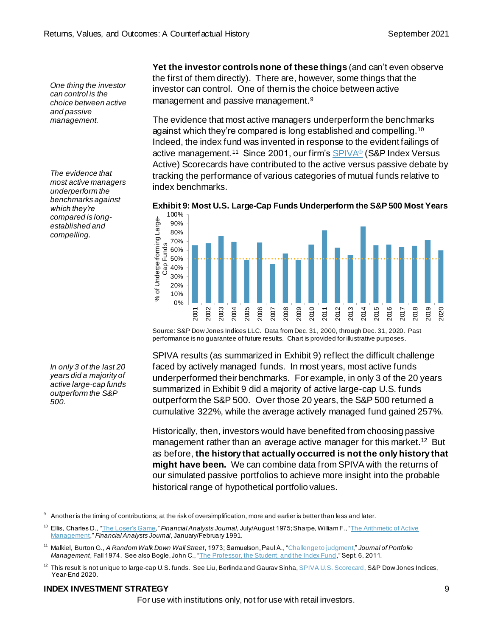*One thing the investor can control is the choice between active and passive management.*

*The evidence that most active managers underperform the benchmarks against which they're compared is longestablished and compelling.*

**Yet the investor controls none of these things** (and can't even observe the first of them directly). There are, however, some things that the investor can control. One of them is the choice between active management and passive management.<sup>9</sup>

The evidence that most active managers underperform the benchmarks against which they're compared is long established and compelling.<sup>10</sup> Indeed, the index fund was invented in response to the evident failings of active management.<sup>11</sup> Since 2001, our firm'[s SPIVA](https://www.spglobal.com/spdji/en/research-insights/spiva/about-spiva/?utm_source=pdf_research)® (S&P Index Versus Active) Scorecards have contributed to the active versus passive debate by tracking the performance of various categories of mutual funds relative to index benchmarks.



**Exhibit 9: Most U.S. Large-Cap Funds Underperform the S&P 500 Most Years**

Source: S&P Dow Jones Indices LLC. Data from Dec. 31, 2000, through Dec. 31, 2020. Past performance is no guarantee of future results. Chart is provided for illustrative purposes.

SPIVA results (as summarized in Exhibit 9) reflect the difficult challenge faced by actively managed funds. In most years, most active funds underperformed their benchmarks. For example, in only 3 of the 20 years summarized in Exhibit 9 did a majority of active large-cap U.S. funds outperform the S&P 500. Over those 20 years, the S&P 500 returned a cumulative 322%, while the average actively managed fund gained 257%.

Historically, then, investors would have benefited from choosing passive management rather than an average active manager for this market.<sup>12</sup> But as before, **the history that actually occurred is not the only history that might have been.** We can combine data from SPIVA with the returns of our simulated passive portfolios to achieve more insight into the probable historical range of hypothetical portfolio values.

Another is the timing of contributions; at the risk of oversimplification, more and earlier is better than less and later.

<sup>10</sup> Ellis, Charles D., ["The Loser's Game,](https://www.cfapubs.org/doi/abs/10.2469/faj.v51.n1.1865)" Financial Analysts Journal, July/August 1975; Sharpe, William F., "The Arithmetic of Active [Management](https://www.cfapubs.org/doi/pdf/10.2469/faj.v47.n1.7)," *Financial Analysts Journal*, January/February 1991.

#### **INDEX INVESTMENT STRATEGY** 9

For use with institutions only, not for use with retail investors.

*In only 3 of the last 20 years did a majority of active large-cap funds outperform the S&P 500.*

<sup>11</sup> Malkiel, Burton G., *A Random Walk Down Wall Street*, 1973; Samuelson, Paul A., ["Challenge to judgment](https://jpm.pm-research.com/content/1/1/17)," *Journal of Portfolio Management*, Fall 1974. See also Bogle, John C., ["The Professor, the Student, and the Index Fund](http://johncbogle.com/wordpress/wp-content/uploads/2011/09/The-Professor-The-Student-and-the-Index-Fund-9-4-11.pdf)," Sept. 6, 2011.

 $^{12}$  This result is not unique to large-cap U.S. funds. See Liu, Berlinda and Gaurav Sinh[a, SPIVA U.S. Scorecard](https://www.spglobal.com/spdji/en/spiva/article/spiva-us/), S&P Dow Jones Indices, Year-End 2020.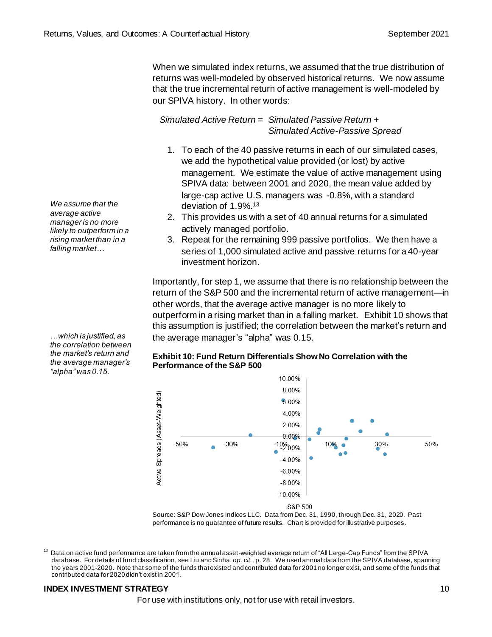When we simulated index returns, we assumed that the true distribution of returns was well-modeled by observed historical returns. We now assume that the true incremental return of active management is well-modeled by our SPIVA history. In other words:

*Simulated Active Return = Simulated Passive Return + Simulated Active-Passive Spread*

- 1. To each of the 40 passive returns in each of our simulated cases, we add the hypothetical value provided (or lost) by active management. We estimate the value of active management using SPIVA data: between 2001 and 2020, the mean value added by large-cap active U.S. managers was -0.8%, with a standard deviation of 1.9%.<sup>13</sup>
- 2. This provides us with a set of 40 annual returns for a simulated actively managed portfolio.
- 3. Repeat for the remaining 999 passive portfolios. We then have a series of 1,000 simulated active and passive returns for a 40-year investment horizon.

Importantly, for step 1, we assume that there is no relationship between the return of the S&P 500 and the incremental return of active management—in other words, that the average active manager is no more likely to outperform in a rising market than in a falling market. Exhibit 10 shows that this assumption is justified; the correlation between the market's return and the average manager's "alpha" was 0.15.

#### **Exhibit 10: Fund Return Differentials Show No Correlation with the Performance of the S&P 500**



Source: S&P Dow Jones Indices LLC. Data from Dec. 31, 1990, through Dec. 31, 2020. Past performance is no guarantee of future results. Chart is provided for illustrative purposes.

 $13$  Data on active fund performance are taken from the annual asset-weighted average return of "All Large-Cap Funds" from the SPIVA database. For details of fund classification, see Liu and Sinha, *op. cit.*, p. 28. We used annual data from the SPIVA database, spanning the years 2001-2020. Note that some of the funds that existed and contributed data for 2001 no longer exist, and some of the funds that contributed data for 2020 didn't exist in 2001.

### **INDEX INVESTMENT STRATEGY** 10 **10**

For use with institutions only, not for use with retail investors.

*We assume that the average active manager is no more likely to outperform in a rising market than in a falling market…*

*…which is justified, as the correlation between the market's return and the average manager's "alpha" was 0.15.*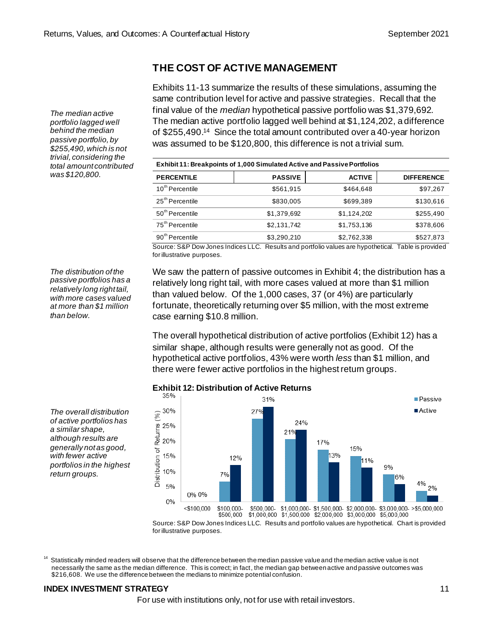## **THE COST OF ACTIVE MANAGEMENT**

Exhibits 11-13 summarize the results of these simulations, assuming the same contribution level for active and passive strategies. Recall that the final value of the *median* hypothetical passive portfolio was \$1,379,692. The median active portfolio lagged well behind at \$1,124,202, a difference of \$255,490. <sup>14</sup> Since the total amount contributed over a 40-year horizon was assumed to be \$120,800, this difference is not a trivial sum.

| Exhibit 11: Breakpoints of 1,000 Simulated Active and Passive Portfolios |                |               |                   |  |  |
|--------------------------------------------------------------------------|----------------|---------------|-------------------|--|--|
| <b>PERCENTILE</b>                                                        | <b>PASSIVE</b> | <b>ACTIVE</b> | <b>DIFFERENCE</b> |  |  |
| 10 <sup>th</sup> Percentile                                              | \$561,915      | \$464.648     | \$97,267          |  |  |
| 25 <sup>th</sup> Percentile                                              | \$830,005      | \$699,389     | \$130,616         |  |  |
| 50 <sup>th</sup> Percentile                                              | \$1,379,692    | \$1,124,202   | \$255,490         |  |  |
| 75 <sup>th</sup> Percentile                                              | \$2,131,742    | \$1,753,136   | \$378,606         |  |  |
| 90 <sup>th</sup> Percentile                                              | \$3.290.210    | \$2,762,338   | \$527.873         |  |  |

Source: S&P Dow Jones Indices LLC. Results and portfolio values are hypothetical. Table is provided for illustrative purposes.

We saw the pattern of passive outcomes in Exhibit 4; the distribution has a relatively long right tail, with more cases valued at more than \$1 million than valued below. Of the 1,000 cases, 37 (or 4%) are particularly fortunate, theoretically returning over \$5 million, with the most extreme case earning \$10.8 million.

The overall hypothetical distribution of active portfolios (Exhibit 12) has a similar shape, although results were generally not as good. Of the hypothetical active portfolios, 43% were worth *less* than \$1 million, and there were fewer active portfolios in the highest return groups.



# **Exhibit 12: Distribution of Active Returns**

Source: S&P Dow Jones Indices LLC. Results and portfolio values are hypothetical. Chart is provided for illustrative purposes.

 $14$  Statistically minded readers will observe that the difference between the median passive value and the median active value is not necessarily the same as the median difference. This is correct; in fact, the median gap between active and passive outcomes was \$216,608. We use the difference between the medians to minimize potential confusion.

### **INDEX INVESTMENT STRATEGY** 11

For use with institutions only, not for use with retail investors.

*The median active portfolio lagged well behind the median passive portfolio, by \$255,490, which is not trivial, considering the total amount contributed was \$120,800.*

*The distribution of the passive portfolios has a relatively long right tail, with more cases valued at more than \$1 million than below.*

*The overall distribution of active portfolios has a similar shape, although results are generally not as good, with fewer active portfolios in the highest return groups.*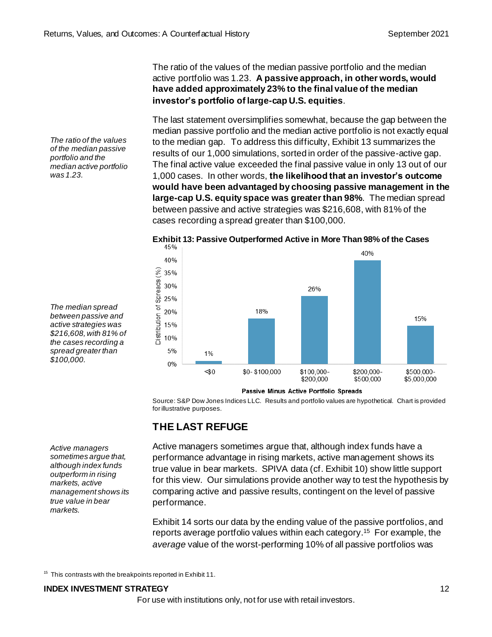The ratio of the values of the median passive portfolio and the median active portfolio was 1.23. **A passive approach, in other words, would have added approximately 23% to the final value of the median investor's portfolio of large-cap U.S. equities**.

The last statement oversimplifies somewhat, because the gap between the median passive portfolio and the median active portfolio is not exactly equal to the median gap. To address this difficulty, Exhibit 13 summarizes the results of our 1,000 simulations, sorted in order of the passive-active gap. The final active value exceeded the final passive value in only 13 out of our 1,000 cases. In other words, **the likelihood that an investor's outcome would have been advantaged by choosing passive management in the large-cap U.S. equity space was greater than 98%**. The median spread between passive and active strategies was \$216,608, with 81% of the cases recording a spread greater than \$100,000.



**Exhibit 13: Passive Outperformed Active in More Than 98% of the Cases**

*The median spread between passive and active strategies was \$216,608, with 81% of the cases recording a spread greater than \$100,000.*

*The ratio of the values of the median passive portfolio and the median active portfolio* 

*was 1.23.*

*Active managers sometimes argue that, although index funds outperform in rising markets, active management shows its true value in bear markets.*

Passive Minus Active Portfolio Spreads

Source: S&P Dow Jones Indices LLC. Results and portfolio values are hypothetical. Chart is provided for illustrative purposes.

### **THE LAST REFUGE**

Active managers sometimes argue that, although index funds have a performance advantage in rising markets, active management shows its true value in bear markets. SPIVA data (cf. Exhibit 10) show little support for this view. Our simulations provide another way to test the hypothesis by comparing active and passive results, contingent on the level of passive performance.

Exhibit 14 sorts our data by the ending value of the passive portfolios, and reports average portfolio values within each category. <sup>15</sup> For example, the *average* value of the worst-performing 10% of all passive portfolios was

 $15$  This contrasts with the breakpoints reported in Exhibit 11.

#### **INDEX INVESTMENT STRATEGY** 12

For use with institutions only, not for use with retail investors.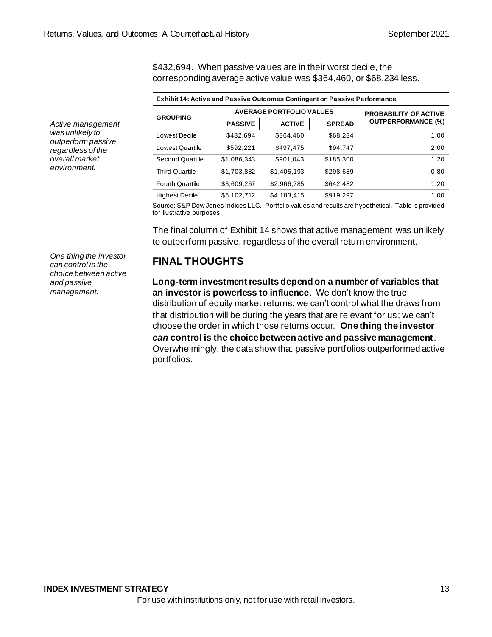\$432,694. When passive values are in their worst decile, the corresponding average active value was \$364,460, or \$68,234 less.

| <b>Exhibit 14: Active and Passive Outcomes Contingent on Passive Performance</b> |                                 |               |               |                              |  |  |  |
|----------------------------------------------------------------------------------|---------------------------------|---------------|---------------|------------------------------|--|--|--|
| <b>GROUPING</b>                                                                  | <b>AVERAGE PORTFOLIO VALUES</b> |               |               | <b>PROBABILITY OF ACTIVE</b> |  |  |  |
|                                                                                  | <b>PASSIVE</b>                  | <b>ACTIVE</b> | <b>SPREAD</b> | <b>OUTPERFORMANCE (%)</b>    |  |  |  |
| Lowest Decile                                                                    | \$432,694                       | \$364,460     | \$68,234      | 1.00                         |  |  |  |
| Lowest Quartile                                                                  | \$592,221                       | \$497.475     | \$94,747      | 2.00                         |  |  |  |
| <b>Second Quartile</b>                                                           | \$1,086,343                     | \$901,043     | \$185,300     | 1.20                         |  |  |  |
| <b>Third Quartile</b>                                                            | \$1,703,882                     | \$1,405,193   | \$298,689     | 0.80                         |  |  |  |
| <b>Fourth Quartile</b>                                                           | \$3,609,267                     | \$2,966,785   | \$642,482     | 1.20                         |  |  |  |
| <b>Highest Decile</b>                                                            | \$5,102,712                     | \$4,183,415   | \$919,297     | 1.00                         |  |  |  |

Source: S&P Dow Jones Indices LLC. Portfolio values and results are hypothetical. Table is provided for illustrative purposes.

The final column of Exhibit 14 shows that active management was unlikely to outperform passive, regardless of the overall return environment.

*One thing the investor can control is the choice between active and passive management.*

*Active management was unlikely to outperform passive, regardless of the overall market environment.*

### **FINAL THOUGHTS**

**Long-term investment results depend on a number of variables that an investor is powerless to influence**. We don't know the true distribution of equity market returns; we can't control what the draws from that distribution will be during the years that are relevant for us; we can't choose the order in which those returns occur. **One thing the investor**  *can* **control is the choice between active and passive management**. Overwhelmingly, the data show that passive portfolios outperformed active portfolios.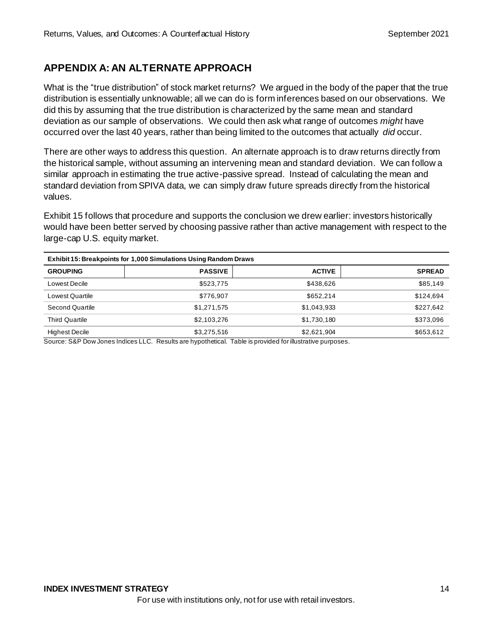## **APPENDIX A: AN ALTERNATE APPROACH**

What is the "true distribution" of stock market returns? We argued in the body of the paper that the true distribution is essentially unknowable; all we can do is form inferences based on our observations. We did this by assuming that the true distribution is characterized by the same mean and standard deviation as our sample of observations. We could then ask what range of outcomes *might* have occurred over the last 40 years, rather than being limited to the outcomes that actually *did* occur.

There are other ways to address this question. An alternate approach is to draw returns directly from the historical sample, without assuming an intervening mean and standard deviation. We can follow a similar approach in estimating the true active-passive spread. Instead of calculating the mean and standard deviation from SPIVA data, we can simply draw future spreads directly from the historical values.

Exhibit 15 follows that procedure and supports the conclusion we drew earlier: investors historically would have been better served by choosing passive rather than active management with respect to the large-cap U.S. equity market.

| Exhibit 15: Breakpoints for 1,000 Simulations Using Random Draws |                |               |               |  |  |  |
|------------------------------------------------------------------|----------------|---------------|---------------|--|--|--|
| <b>GROUPING</b>                                                  | <b>PASSIVE</b> | <b>ACTIVE</b> | <b>SPREAD</b> |  |  |  |
| Lowest Decile                                                    | \$523.775      | \$438.626     | \$85,149      |  |  |  |
| <b>Lowest Quartile</b>                                           | \$776,907      | \$652.214     | \$124,694     |  |  |  |
| Second Quartile                                                  | \$1,271,575    | \$1,043,933   | \$227,642     |  |  |  |
| <b>Third Quartile</b>                                            | \$2,103,276    | \$1,730,180   | \$373,096     |  |  |  |
| <b>Highest Decile</b>                                            | \$3,275,516    | \$2,621,904   | \$653,612     |  |  |  |

Source: S&P Dow Jones Indices LLC. Results are hypothetical. Table is provided for illustrative purposes.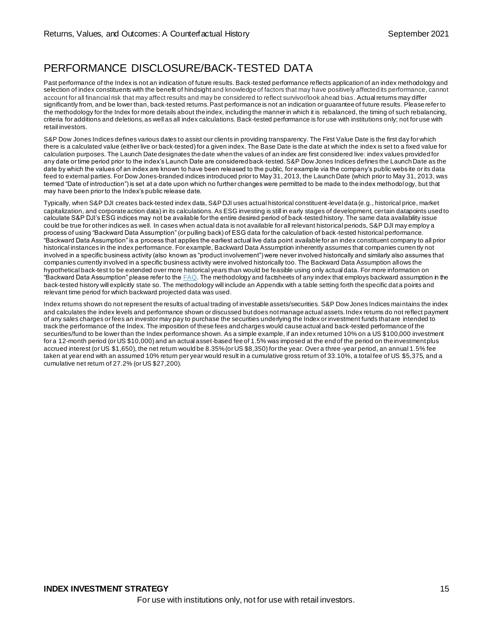# PERFORMANCE DISCLOSURE/BACK-TESTED DATA

Past performance of the Index is not an indication of future results. Back-tested performance reflects application of an index methodology and selection of index constituents with the benefit of hindsight and knowledge of factors that may have positively affected its performance, cannot account for all financial risk that may affect results and may be considered to reflect survivor/look ahead bias. Actual returns may differ significantly from, and be lower than, back-tested returns. Past performance is not an indication or guarantee of future results. Please refer to the methodology for the Index for more details about the index, including the manner in which it is rebalanced, the timing of such rebalancing, criteria for additions and deletions, as well as all index calculations. Back-tested performance is for use with institutions only; not for use with retail investors.

S&P Dow Jones Indices defines various dates to assist our clients in providing transparency. The First Value Date is the first day for which there is a calculated value (either live or back-tested) for a given index. The Base Date is the date at which the index is set to a fixed value for calculation purposes. The Launch Date designates the date when the values of an index are first considered live: index values provided for any date or time period prior to the index's Launch Date are considered back-tested. S&P Dow Jones Indices defines the Launch Date as the date by which the values of an index are known to have been released to the public, for example via the company's public webs ite or its data feed to external parties. For Dow Jones-branded indices introduced prior to May 31, 2013, the Launch Date (which prior to May 31, 2013, was termed "Date of introduction") is set at a date upon which no further changes were permitted to be made to the index methodology, but that may have been prior to the Index's public release date.

Typically, when S&P DJI creates back-tested index data, S&P DJI uses actual historical constituent-level data (e.g., historical price, market capitalization, and corporate action data) in its calculations. As ESG investing is still in early stages of development, certain datapoints used to calculate S&P DJI's ESG indices may not be available for the entire desired period of back-tested history. The same data availability issue could be true for other indices as well. In cases when actual data is not available for all relevant historical periods, S&P DJI may employ a process of using "Backward Data Assumption" (or pulling back) of ESG data for the calculation of back-tested historical performance. "Backward Data Assumption" is a process that applies the earliest actual live data point available for an index constituent company to all prior historical instances in the index performance. For example, Backward Data Assumption inherently assumes that companies curren tly not involved in a specific business activity (also known as "product involvement") were never involved historically and similarly also assumes that companies currently involved in a specific business activity were involved historically too. The Backward Data Assumption allows the hypothetical back-test to be extended over more historical years than would be feasible using only actual data. For more information on "Backward Data Assumption" please refer to the  $FAQ$ . The methodology and factsheets of any index that employs backward assumption in the back-tested history will explicitly state so. The methodology will include an Appendix with a table setting forth the specific dat a points and relevant time period for which backward projected data was used.

Index returns shown do not represent the results of actual trading of investable assets/securities. S&P Dow Jones Indices maintains the index and calculates the index levels and performance shown or discussed but does not manage actual assets. Index returns do not reflect payment of any sales charges or fees an investor may pay to purchase the securities underlying the Index or investment funds that are intended to track the performance of the Index. The imposition of these fees and charges would cause actual and back-tested performance of the securities/fund to be lower than the Index performance shown. As a simple example, if an index returned 10% on a US \$100,000 investment for a 12-month period (or US \$10,000) and an actual asset-based fee of 1.5% was imposed at the end of the period on the investment plus accrued interest (or US \$1,650), the net return would be 8.35% (or US \$8,350) for the year. Over a three -year period, an annual 1.5% fee taken at year end with an assumed 10% return per year would result in a cumulative gross return of 33.10%, a total fee of US \$5,375, and a cumulative net return of 27.2% (or US \$27,200).